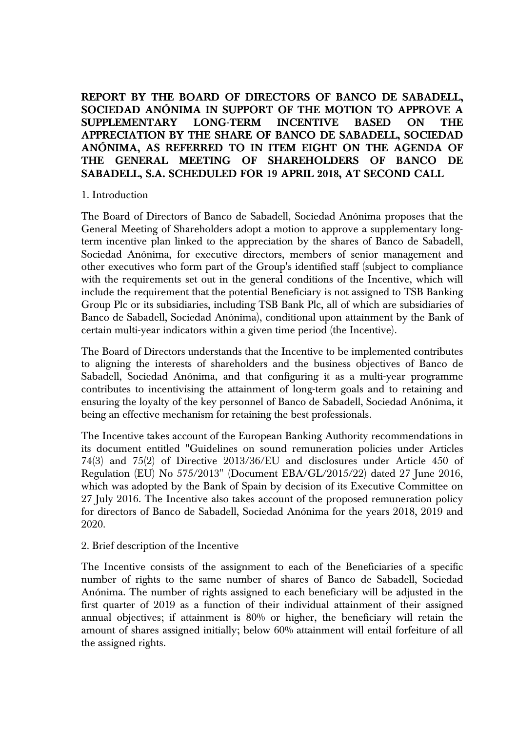**REPORT BY THE BOARD OF DIRECTORS OF BANCO DE SABADELL, SOCIEDAD ANÓNIMA IN SUPPORT OF THE MOTION TO APPROVE A SUPPLEMENTARY LONG-TERM INCENTIVE BASED ON THE APPRECIATION BY THE SHARE OF BANCO DE SABADELL, SOCIEDAD ANÓNIMA, AS REFERRED TO IN ITEM EIGHT ON THE AGENDA OF THE GENERAL MEETING OF SHAREHOLDERS OF BANCO DE SABADELL, S.A. SCHEDULED FOR 19 APRIL 2018, AT SECOND CALL** 

## 1. Introduction

The Board of Directors of Banco de Sabadell, Sociedad Anónima proposes that the General Meeting of Shareholders adopt a motion to approve a supplementary longterm incentive plan linked to the appreciation by the shares of Banco de Sabadell, Sociedad Anónima, for executive directors, members of senior management and other executives who form part of the Group's identified staff (subject to compliance with the requirements set out in the general conditions of the Incentive, which will include the requirement that the potential Beneficiary is not assigned to TSB Banking Group Plc or its subsidiaries, including TSB Bank Plc, all of which are subsidiaries of Banco de Sabadell, Sociedad Anónima), conditional upon attainment by the Bank of certain multi-year indicators within a given time period (the Incentive).

The Board of Directors understands that the Incentive to be implemented contributes to aligning the interests of shareholders and the business objectives of Banco de Sabadell, Sociedad Anónima, and that configuring it as a multi-year programme contributes to incentivising the attainment of long-term goals and to retaining and ensuring the loyalty of the key personnel of Banco de Sabadell, Sociedad Anónima, it being an effective mechanism for retaining the best professionals.

The Incentive takes account of the European Banking Authority recommendations in its document entitled "Guidelines on sound remuneration policies under Articles 74(3) and 75(2) of Directive 2013/36/EU and disclosures under Article 450 of Regulation (EU) No 575/2013" (Document EBA/GL/2015/22) dated 27 June 2016, which was adopted by the Bank of Spain by decision of its Executive Committee on 27 July 2016. The Incentive also takes account of the proposed remuneration policy for directors of Banco de Sabadell, Sociedad Anónima for the years 2018, 2019 and 2020.

## 2. Brief description of the Incentive

The Incentive consists of the assignment to each of the Beneficiaries of a specific number of rights to the same number of shares of Banco de Sabadell, Sociedad Anónima. The number of rights assigned to each beneficiary will be adjusted in the first quarter of 2019 as a function of their individual attainment of their assigned annual objectives; if attainment is 80% or higher, the beneficiary will retain the amount of shares assigned initially; below 60% attainment will entail forfeiture of all the assigned rights.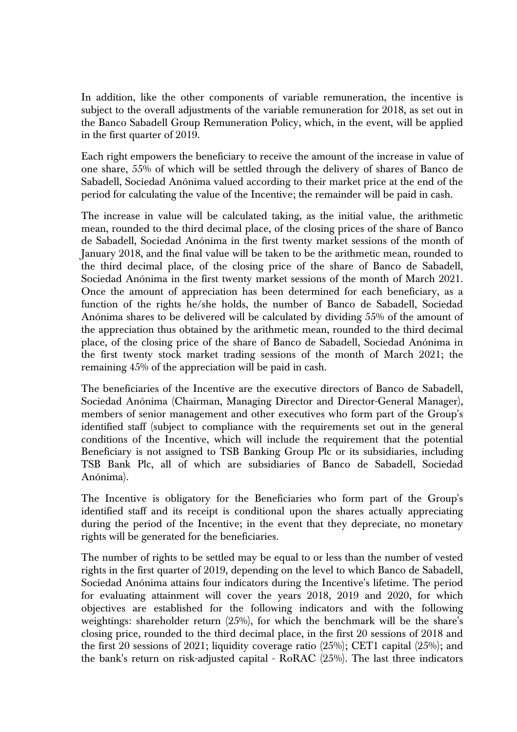In addition, like the other components of variable remuneration, the incentive is subject to the overall adjustments of the variable remuneration for 2018, as set out in the Banco Sabadell Group Remuneration Policy, which, in the event, will be applied in the first quarter of 2019.

Each right empowers the beneficiary to receive the amount of the increase in value of one share, 55% of which will be settled through the delivery of shares of Banco de Sabadell, Sociedad Anónima valued according to their market price at the end of the period for calculating the value of the Incentive; the remainder will be paid in cash.

The increase in value will be calculated taking, as the initial value, the arithmetic mean, rounded to the third decimal place, of the closing prices of the share of Banco de Sabadell, Sociedad Anónima in the first twenty market sessions of the month of January 2018, and the final value will be taken to be the arithmetic mean, rounded to the third decimal place, of the closing price of the share of Banco de Sabadell, Sociedad Anónima in the first twenty market sessions of the month of March 2021. Once the amount of appreciation has been determined for each beneficiary, as a function of the rights he/she holds, the number of Banco de Sabadell, Sociedad Anónima shares to be delivered will be calculated by dividing 55% of the amount of the appreciation thus obtained by the arithmetic mean, rounded to the third decimal place, of the closing price of the share of Banco de Sabadell, Sociedad Anónima in the first twenty stock market trading sessions of the month of March 2021; the remaining 45% of the appreciation will be paid in cash.

The beneficiaries of the Incentive are the executive directors of Banco de Sabadell, Sociedad Anónima (Chairman, Managing Director and Director-General Manager), members of senior management and other executives who form part of the Group's identified staff (subject to compliance with the requirements set out in the general conditions of the Incentive, which will include the requirement that the potential Beneficiary is not assigned to TSB Banking Group Plc or its subsidiaries, including TSB Bank Plc, all of which are subsidiaries of Banco de Sabadell, Sociedad Anónima).

The Incentive is obligatory for the Beneficiaries who form part of the Group's identified staff and its receipt is conditional upon the shares actually appreciating during the period of the Incentive; in the event that they depreciate, no monetary rights will be generated for the beneficiaries.

The number of rights to be settled may be equal to or less than the number of vested rights in the first quarter of 2019, depending on the level to which Banco de Sabadell, Sociedad Anónima attains four indicators during the Incentive's lifetime. The period for evaluating attainment will cover the years 2018, 2019 and 2020, for which objectives are established for the following indicators and with the following weightings: shareholder return (25%), for which the benchmark will be the share's closing price, rounded to the third decimal place, in the first 20 sessions of 2018 and the first 20 sessions of 2021; liquidity coverage ratio (25%); CET1 capital (25%); and the bank's return on risk-adjusted capital - RoRAC (25%). The last three indicators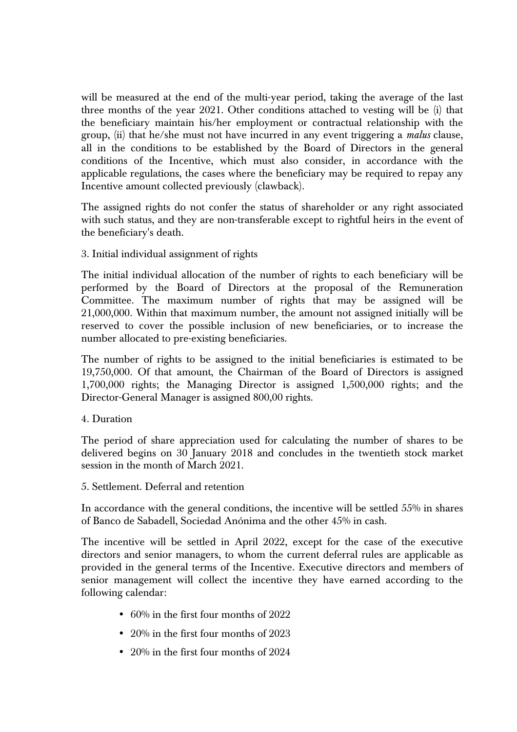will be measured at the end of the multi-year period, taking the average of the last three months of the year 2021. Other conditions attached to vesting will be (i) that the beneficiary maintain his/her employment or contractual relationship with the group, (ii) that he/she must not have incurred in any event triggering a *malus* clause, all in the conditions to be established by the Board of Directors in the general conditions of the Incentive, which must also consider, in accordance with the applicable regulations, the cases where the beneficiary may be required to repay any Incentive amount collected previously (clawback).

The assigned rights do not confer the status of shareholder or any right associated with such status, and they are non-transferable except to rightful heirs in the event of the beneficiary's death.

3. Initial individual assignment of rights

The initial individual allocation of the number of rights to each beneficiary will be performed by the Board of Directors at the proposal of the Remuneration Committee. The maximum number of rights that may be assigned will be 21,000,000. Within that maximum number, the amount not assigned initially will be reserved to cover the possible inclusion of new beneficiaries, or to increase the number allocated to pre-existing beneficiaries.

The number of rights to be assigned to the initial beneficiaries is estimated to be 19,750,000. Of that amount, the Chairman of the Board of Directors is assigned 1,700,000 rights; the Managing Director is assigned 1,500,000 rights; and the Director-General Manager is assigned 800,00 rights.

4. Duration

The period of share appreciation used for calculating the number of shares to be delivered begins on 30 January 2018 and concludes in the twentieth stock market session in the month of March 2021.

5. Settlement. Deferral and retention

In accordance with the general conditions, the incentive will be settled 55% in shares of Banco de Sabadell, Sociedad Anónima and the other 45% in cash.

The incentive will be settled in April 2022, except for the case of the executive directors and senior managers, to whom the current deferral rules are applicable as provided in the general terms of the Incentive. Executive directors and members of senior management will collect the incentive they have earned according to the following calendar:

- 60% in the first four months of 2022
- 20% in the first four months of 2023
- 20% in the first four months of 2024